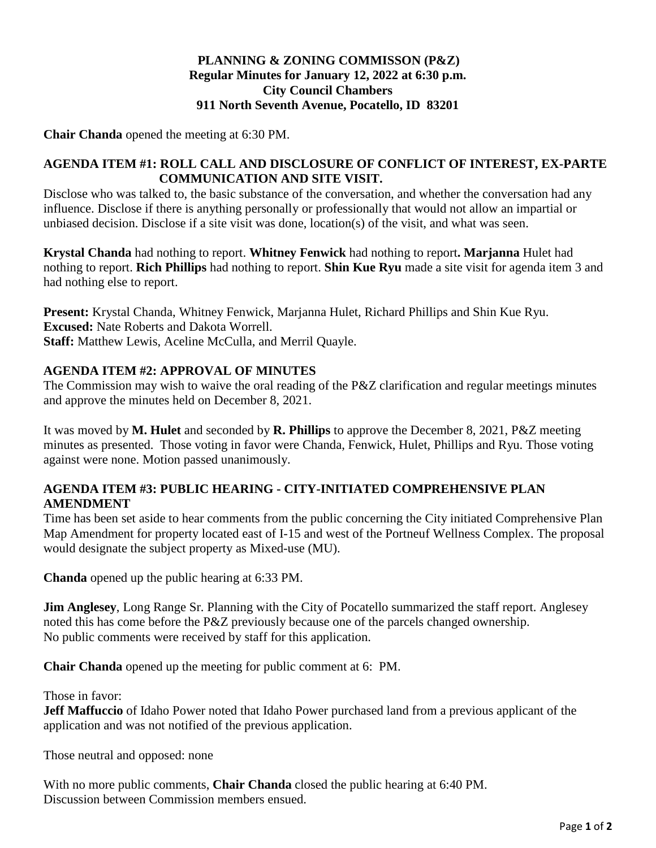# **PLANNING & ZONING COMMISSON (P&Z) Regular Minutes for January 12, 2022 at 6:30 p.m. City Council Chambers 911 North Seventh Avenue, Pocatello, ID 83201**

**Chair Chanda** opened the meeting at 6:30 PM.

#### **AGENDA ITEM #1: ROLL CALL AND DISCLOSURE OF CONFLICT OF INTEREST, EX-PARTE COMMUNICATION AND SITE VISIT.**

Disclose who was talked to, the basic substance of the conversation, and whether the conversation had any influence. Disclose if there is anything personally or professionally that would not allow an impartial or unbiased decision. Disclose if a site visit was done, location(s) of the visit, and what was seen.

**Krystal Chanda** had nothing to report. **Whitney Fenwick** had nothing to report**. Marjanna** Hulet had nothing to report. **Rich Phillips** had nothing to report. **Shin Kue Ryu** made a site visit for agenda item 3 and had nothing else to report.

**Present:** Krystal Chanda, Whitney Fenwick, Marjanna Hulet, Richard Phillips and Shin Kue Ryu. **Excused:** Nate Roberts and Dakota Worrell. **Staff:** Matthew Lewis, Aceline McCulla, and Merril Quayle.

## **AGENDA ITEM #2: APPROVAL OF MINUTES**

The Commission may wish to waive the oral reading of the P&Z clarification and regular meetings minutes and approve the minutes held on December 8, 2021.

It was moved by **M. Hulet** and seconded by **R. Phillips** to approve the December 8, 2021, P&Z meeting minutes as presented. Those voting in favor were Chanda, Fenwick, Hulet, Phillips and Ryu. Those voting against were none. Motion passed unanimously.

## **AGENDA ITEM #3: PUBLIC HEARING - CITY-INITIATED COMPREHENSIVE PLAN AMENDMENT**

Time has been set aside to hear comments from the public concerning the City initiated Comprehensive Plan Map Amendment for property located east of I-15 and west of the Portneuf Wellness Complex. The proposal would designate the subject property as Mixed-use (MU).

**Chanda** opened up the public hearing at 6:33 PM.

**Jim Anglesey**, Long Range Sr. Planning with the City of Pocatello summarized the staff report. Anglesey noted this has come before the P&Z previously because one of the parcels changed ownership. No public comments were received by staff for this application.

**Chair Chanda** opened up the meeting for public comment at 6: PM.

Those in favor:

**Jeff Maffuccio** of Idaho Power noted that Idaho Power purchased land from a previous applicant of the application and was not notified of the previous application.

Those neutral and opposed: none

With no more public comments, **Chair Chanda** closed the public hearing at 6:40 PM. Discussion between Commission members ensued.